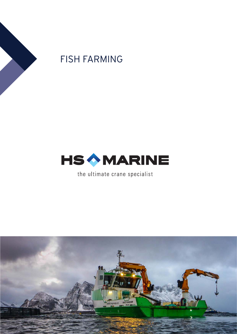

# FISH FARMING



the ultimate crane specialist

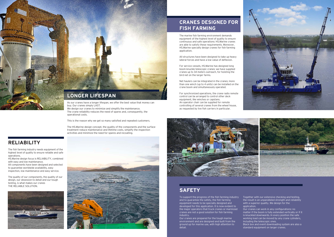### **RELIABILITY**

The fish farming industry needs equipment of the highest level of quality to ensure reliable and safe operations.

HS.Marine design focus is RELIABILITY, combined with easy and low maintenance. All components have been designed and selected to guarantee worldwide availability, easy inspection, low maintenance and easy service.

The quality of our components, the quality of our design, our obsession to detail and our tough testing, is what makes our cranes THE RELIABLE SOLUTION.





Together with our extensive checking and testing, the result is an unparalleled strength and reliability with a superior quality. We design for the

### **SAFETY**

To support the progress of the fish farming industry and to guarantee the safety, the fish farming equipment needs to be specially designed and developed for this application. It is now evident to the major operators that truck cranes or marinized cranes are not a good solution for fish farming industry.

We design our cranes to minimize and simplify the maintenance. The crane reliability reduces the need of spares and, consequently, the operational costs.

> Our cranes are prepared for the tough marine environment and are designed and built from the ground up for marine use, with high attention to detail.

application.



Our cranes can work in any configurations: no matter if the boom is fully extended vertically or if it is knuckled downwards. In every position the safe working load can be moved by any crane cylinders, including the telescopic ones.

Black box and event downloading system are also a standard equipment on larger cranes.



buy. Our cranes simply LAST.

This is the reason why we get so many satisfied and repeated customers.

The HS.Marine design concept, the quality of the components and the surface treatment reduce maintenance and lifetime costs, simplify the inspection activities and minimize the need for spares and recoating.

The marine fish farming environment demands equipment of the highest level of quality to ensure continuous and safe operations: HS.Marine cranes are able to satisfy these requirements. Moreover, HS.Marine specially design cranes for fish farming application.

All structures have been designed to take up heavy lateral forces and have a low value of deflexion.

For service vessels, HS.Marine has designed long boom knuckle telescopic cranes: we have supplied cranes up to 34 meters outreach, for hoisting the bird net on the larger farms.

Net haulers can be integrated in the cranes; more than one winch (up to 4 units) can be installed on the crane boom and simultaneously operated.

For synchronized operations, the crane radio remote control can be arranged to control other deck equipment, like winches or capstans. An operator chair can be supplied for remote controlling of several cranes from the wheel house, as requested by live fish carriers in particular.



## **CRANES DESIGNED FOR FISH FARMING**